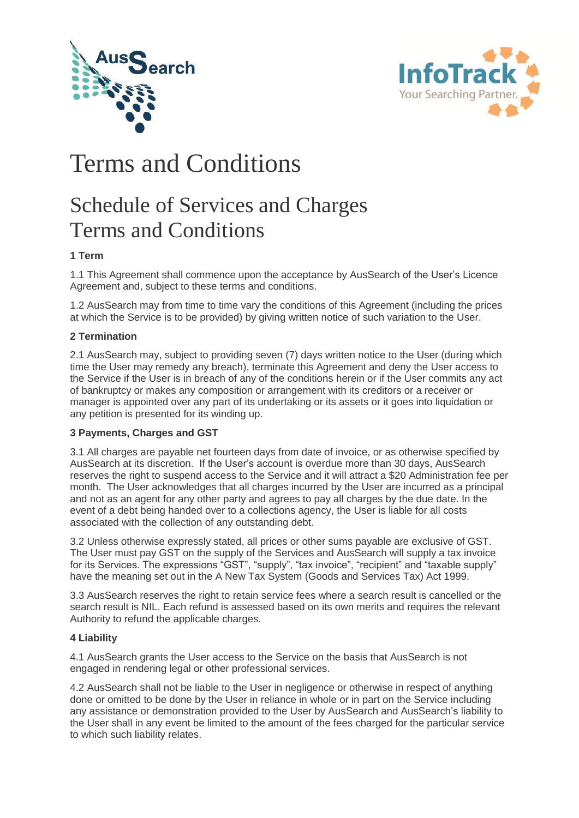



# Terms and Conditions

## Schedule of Services and Charges Terms and Conditions

## **1 Term**

1.1 This Agreement shall commence upon the acceptance by AusSearch of the User's Licence Agreement and, subject to these terms and conditions.

1.2 AusSearch may from time to time vary the conditions of this Agreement (including the prices at which the Service is to be provided) by giving written notice of such variation to the User.

## **2 Termination**

2.1 AusSearch may, subject to providing seven (7) days written notice to the User (during which time the User may remedy any breach), terminate this Agreement and deny the User access to the Service if the User is in breach of any of the conditions herein or if the User commits any act of bankruptcy or makes any composition or arrangement with its creditors or a receiver or manager is appointed over any part of its undertaking or its assets or it goes into liquidation or any petition is presented for its winding up.

## **3 Payments, Charges and GST**

3.1 All charges are payable net fourteen days from date of invoice, or as otherwise specified by AusSearch at its discretion. If the User's account is overdue more than 30 days, AusSearch reserves the right to suspend access to the Service and it will attract a \$20 Administration fee per month. The User acknowledges that all charges incurred by the User are incurred as a principal and not as an agent for any other party and agrees to pay all charges by the due date. In the event of a debt being handed over to a collections agency, the User is liable for all costs associated with the collection of any outstanding debt.

3.2 Unless otherwise expressly stated, all prices or other sums payable are exclusive of GST. The User must pay GST on the supply of the Services and AusSearch will supply a tax invoice for its Services. The expressions "GST", "supply", "tax invoice", "recipient" and "taxable supply" have the meaning set out in the A New Tax System (Goods and Services Tax) Act 1999.

3.3 AusSearch reserves the right to retain service fees where a search result is cancelled or the search result is NIL. Each refund is assessed based on its own merits and requires the relevant Authority to refund the applicable charges.

## **4 Liability**

4.1 AusSearch grants the User access to the Service on the basis that AusSearch is not engaged in rendering legal or other professional services.

4.2 AusSearch shall not be liable to the User in negligence or otherwise in respect of anything done or omitted to be done by the User in reliance in whole or in part on the Service including any assistance or demonstration provided to the User by AusSearch and AusSearch's liability to the User shall in any event be limited to the amount of the fees charged for the particular service to which such liability relates.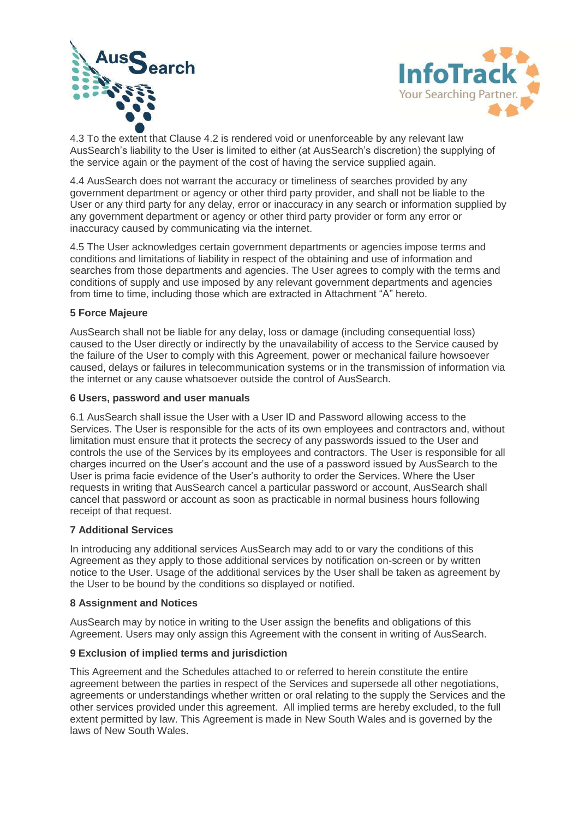



4.3 To the extent that Clause 4.2 is rendered void or unenforceable by any relevant law AusSearch's liability to the User is limited to either (at AusSearch's discretion) the supplying of the service again or the payment of the cost of having the service supplied again.

4.4 AusSearch does not warrant the accuracy or timeliness of searches provided by any government department or agency or other third party provider, and shall not be liable to the User or any third party for any delay, error or inaccuracy in any search or information supplied by any government department or agency or other third party provider or form any error or inaccuracy caused by communicating via the internet.

4.5 The User acknowledges certain government departments or agencies impose terms and conditions and limitations of liability in respect of the obtaining and use of information and searches from those departments and agencies. The User agrees to comply with the terms and conditions of supply and use imposed by any relevant government departments and agencies from time to time, including those which are extracted in Attachment "A" hereto.

#### **5 Force Majeure**

AusSearch shall not be liable for any delay, loss or damage (including consequential loss) caused to the User directly or indirectly by the unavailability of access to the Service caused by the failure of the User to comply with this Agreement, power or mechanical failure howsoever caused, delays or failures in telecommunication systems or in the transmission of information via the internet or any cause whatsoever outside the control of AusSearch.

#### **6 Users, password and user manuals**

6.1 AusSearch shall issue the User with a User ID and Password allowing access to the Services. The User is responsible for the acts of its own employees and contractors and, without limitation must ensure that it protects the secrecy of any passwords issued to the User and controls the use of the Services by its employees and contractors. The User is responsible for all charges incurred on the User's account and the use of a password issued by AusSearch to the User is prima facie evidence of the User's authority to order the Services. Where the User requests in writing that AusSearch cancel a particular password or account, AusSearch shall cancel that password or account as soon as practicable in normal business hours following receipt of that request.

## **7 Additional Services**

In introducing any additional services AusSearch may add to or vary the conditions of this Agreement as they apply to those additional services by notification on-screen or by written notice to the User. Usage of the additional services by the User shall be taken as agreement by the User to be bound by the conditions so displayed or notified.

### **8 Assignment and Notices**

AusSearch may by notice in writing to the User assign the benefits and obligations of this Agreement. Users may only assign this Agreement with the consent in writing of AusSearch.

## **9 Exclusion of implied terms and jurisdiction**

This Agreement and the Schedules attached to or referred to herein constitute the entire agreement between the parties in respect of the Services and supersede all other negotiations, agreements or understandings whether written or oral relating to the supply the Services and the other services provided under this agreement. All implied terms are hereby excluded, to the full extent permitted by law. This Agreement is made in New South Wales and is governed by the laws of New South Wales.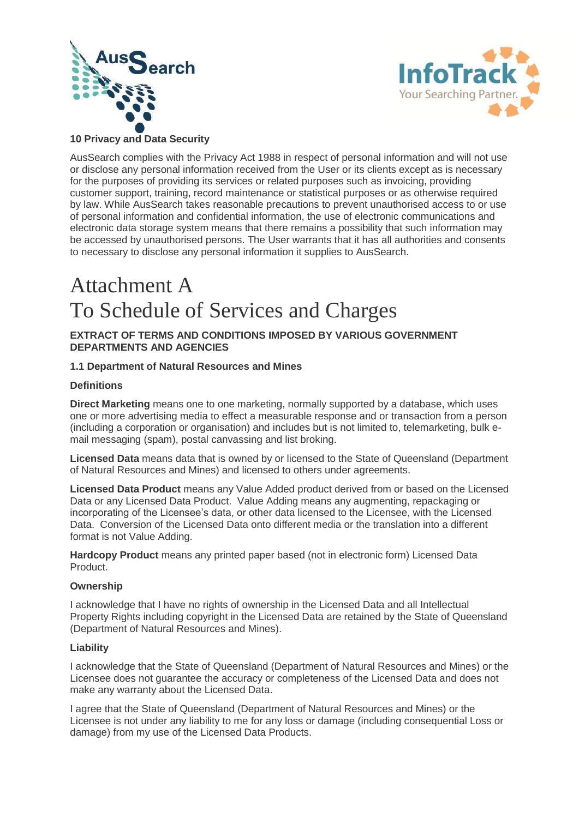



## **10 Privacy and Data Security**

AusSearch complies with the Privacy Act 1988 in respect of personal information and will not use or disclose any personal information received from the User or its clients except as is necessary for the purposes of providing its services or related purposes such as invoicing, providing customer support, training, record maintenance or statistical purposes or as otherwise required by law. While AusSearch takes reasonable precautions to prevent unauthorised access to or use of personal information and confidential information, the use of electronic communications and electronic data storage system means that there remains a possibility that such information may be accessed by unauthorised persons. The User warrants that it has all authorities and consents to necessary to disclose any personal information it supplies to AusSearch.

## Attachment A To Schedule of Services and Charges

#### **EXTRACT OF TERMS AND CONDITIONS IMPOSED BY VARIOUS GOVERNMENT DEPARTMENTS AND AGENCIES**

#### **1.1 Department of Natural Resources and Mines**

#### **Definitions**

**Direct Marketing** means one to one marketing, normally supported by a database, which uses one or more advertising media to effect a measurable response and or transaction from a person (including a corporation or organisation) and includes but is not limited to, telemarketing, bulk email messaging (spam), postal canvassing and list broking.

**Licensed Data** means data that is owned by or licensed to the State of Queensland (Department of Natural Resources and Mines) and licensed to others under agreements.

**Licensed Data Product** means any Value Added product derived from or based on the Licensed Data or any Licensed Data Product. Value Adding means any augmenting, repackaging or incorporating of the Licensee's data, or other data licensed to the Licensee, with the Licensed Data. Conversion of the Licensed Data onto different media or the translation into a different format is not Value Adding.

**Hardcopy Product** means any printed paper based (not in electronic form) Licensed Data Product.

#### **Ownership**

I acknowledge that I have no rights of ownership in the Licensed Data and all Intellectual Property Rights including copyright in the Licensed Data are retained by the State of Queensland (Department of Natural Resources and Mines).

#### **Liability**

I acknowledge that the State of Queensland (Department of Natural Resources and Mines) or the Licensee does not guarantee the accuracy or completeness of the Licensed Data and does not make any warranty about the Licensed Data.

I agree that the State of Queensland (Department of Natural Resources and Mines) or the Licensee is not under any liability to me for any loss or damage (including consequential Loss or damage) from my use of the Licensed Data Products.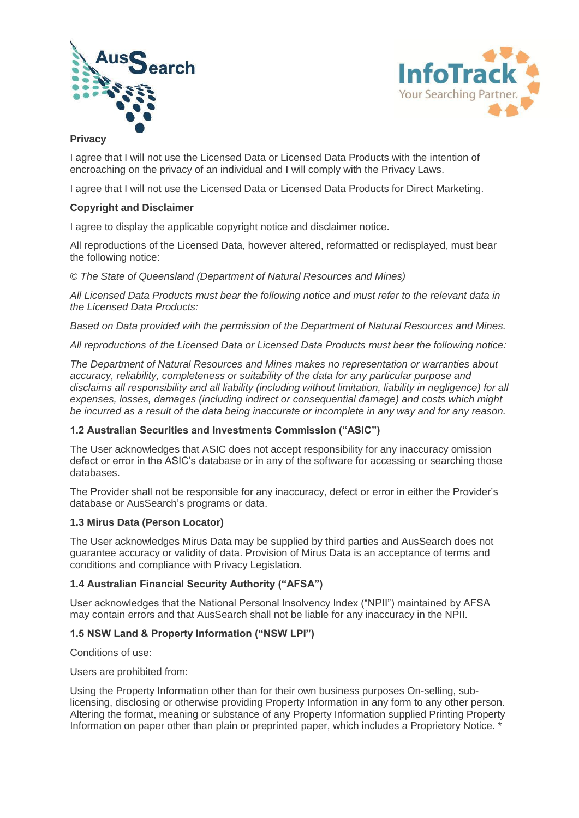



#### **Privacy**

I agree that I will not use the Licensed Data or Licensed Data Products with the intention of encroaching on the privacy of an individual and I will comply with the Privacy Laws.

I agree that I will not use the Licensed Data or Licensed Data Products for Direct Marketing.

#### **Copyright and Disclaimer**

I agree to display the applicable copyright notice and disclaimer notice.

All reproductions of the Licensed Data, however altered, reformatted or redisplayed, must bear the following notice:

*© The State of Queensland (Department of Natural Resources and Mines)*

*All Licensed Data Products must bear the following notice and must refer to the relevant data in the Licensed Data Products:*

*Based on Data provided with the permission of the Department of Natural Resources and Mines.*

*All reproductions of the Licensed Data or Licensed Data Products must bear the following notice:*

*The Department of Natural Resources and Mines makes no representation or warranties about accuracy, reliability, completeness or suitability of the data for any particular purpose and disclaims all responsibility and all liability (including without limitation, liability in negligence) for all expenses, losses, damages (including indirect or consequential damage) and costs which might be incurred as a result of the data being inaccurate or incomplete in any way and for any reason.*

#### **1.2 Australian Securities and Investments Commission ("ASIC")**

The User acknowledges that ASIC does not accept responsibility for any inaccuracy omission defect or error in the ASIC's database or in any of the software for accessing or searching those databases.

The Provider shall not be responsible for any inaccuracy, defect or error in either the Provider's database or AusSearch's programs or data.

#### **1.3 Mirus Data (Person Locator)**

The User acknowledges Mirus Data may be supplied by third parties and AusSearch does not guarantee accuracy or validity of data. Provision of Mirus Data is an acceptance of terms and conditions and compliance with Privacy Legislation.

## **1.4 Australian Financial Security Authority ("AFSA")**

User acknowledges that the National Personal Insolvency Index ("NPII") maintained by AFSA may contain errors and that AusSearch shall not be liable for any inaccuracy in the NPII.

## **1.5 NSW Land & Property Information ("NSW LPI")**

Conditions of use:

Users are prohibited from:

Using the Property Information other than for their own business purposes On-selling, sublicensing, disclosing or otherwise providing Property Information in any form to any other person. Altering the format, meaning or substance of any Property Information supplied Printing Property Information on paper other than plain or preprinted paper, which includes a Proprietory Notice. \*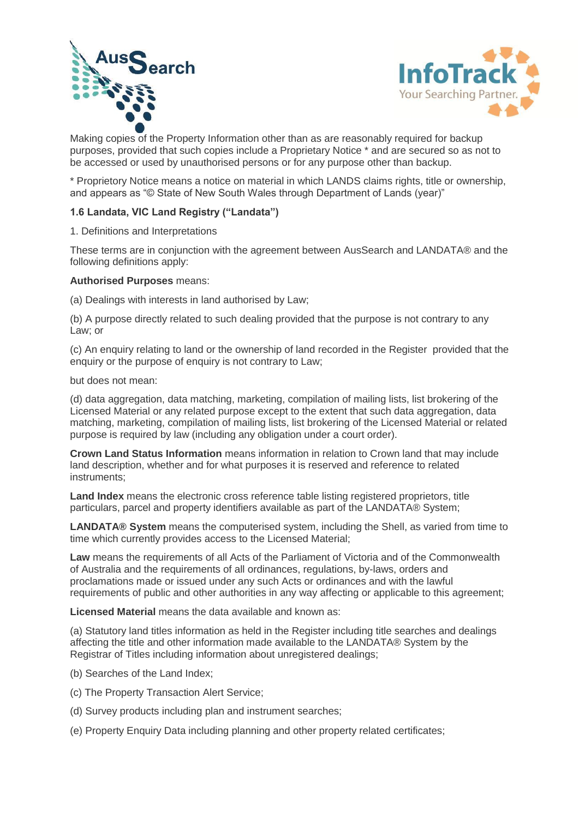



Making copies of the Property Information other than as are reasonably required for backup purposes, provided that such copies include a Proprietary Notice \* and are secured so as not to be accessed or used by unauthorised persons or for any purpose other than backup.

\* Proprietory Notice means a notice on material in which LANDS claims rights, title or ownership, and appears as "© State of New South Wales through Department of Lands (year)"

#### **1.6 Landata, VIC Land Registry ("Landata")**

1. Definitions and Interpretations

These terms are in conjunction with the agreement between AusSearch and LANDATA® and the following definitions apply:

#### **Authorised Purposes** means:

(a) Dealings with interests in land authorised by Law;

(b) A purpose directly related to such dealing provided that the purpose is not contrary to any Law; or

(c) An enquiry relating to land or the ownership of land recorded in the Register provided that the enquiry or the purpose of enquiry is not contrary to Law;

but does not mean:

(d) data aggregation, data matching, marketing, compilation of mailing lists, list brokering of the Licensed Material or any related purpose except to the extent that such data aggregation, data matching, marketing, compilation of mailing lists, list brokering of the Licensed Material or related purpose is required by law (including any obligation under a court order).

**Crown Land Status Information** means information in relation to Crown land that may include land description, whether and for what purposes it is reserved and reference to related instruments;

**Land Index** means the electronic cross reference table listing registered proprietors, title particulars, parcel and property identifiers available as part of the LANDATA® System;

**LANDATA® System** means the computerised system, including the Shell, as varied from time to time which currently provides access to the Licensed Material;

**Law** means the requirements of all Acts of the Parliament of Victoria and of the Commonwealth of Australia and the requirements of all ordinances, regulations, by-laws, orders and proclamations made or issued under any such Acts or ordinances and with the lawful requirements of public and other authorities in any way affecting or applicable to this agreement;

**Licensed Material** means the data available and known as:

(a) Statutory land titles information as held in the Register including title searches and dealings affecting the title and other information made available to the LANDATA® System by the Registrar of Titles including information about unregistered dealings;

- (b) Searches of the Land Index;
- (c) The Property Transaction Alert Service;
- (d) Survey products including plan and instrument searches;
- (e) Property Enquiry Data including planning and other property related certificates;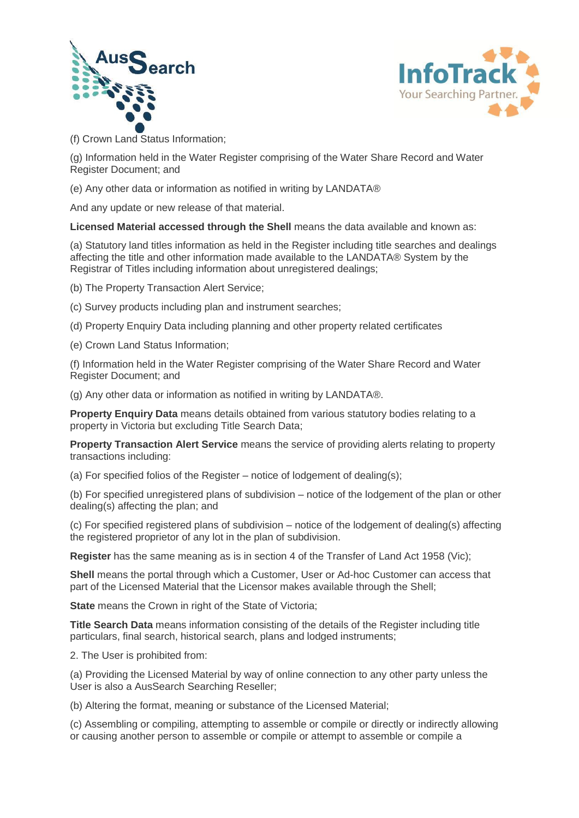



(f) Crown Land Status Information;

(g) Information held in the Water Register comprising of the Water Share Record and Water Register Document; and

(e) Any other data or information as notified in writing by LANDATA®

And any update or new release of that material.

**Licensed Material accessed through the Shell** means the data available and known as:

(a) Statutory land titles information as held in the Register including title searches and dealings affecting the title and other information made available to the LANDATA® System by the Registrar of Titles including information about unregistered dealings;

(b) The Property Transaction Alert Service;

- (c) Survey products including plan and instrument searches;
- (d) Property Enquiry Data including planning and other property related certificates
- (e) Crown Land Status Information;

(f) Information held in the Water Register comprising of the Water Share Record and Water Register Document; and

(g) Any other data or information as notified in writing by LANDATA®.

**Property Enquiry Data** means details obtained from various statutory bodies relating to a property in Victoria but excluding Title Search Data;

**Property Transaction Alert Service** means the service of providing alerts relating to property transactions including:

(a) For specified folios of the Register – notice of lodgement of dealing(s);

(b) For specified unregistered plans of subdivision – notice of the lodgement of the plan or other dealing(s) affecting the plan; and

(c) For specified registered plans of subdivision – notice of the lodgement of dealing(s) affecting the registered proprietor of any lot in the plan of subdivision.

**Register** has the same meaning as is in section 4 of the Transfer of Land Act 1958 (Vic);

**Shell** means the portal through which a Customer, User or Ad-hoc Customer can access that part of the Licensed Material that the Licensor makes available through the Shell;

**State** means the Crown in right of the State of Victoria;

**Title Search Data** means information consisting of the details of the Register including title particulars, final search, historical search, plans and lodged instruments;

2. The User is prohibited from:

(a) Providing the Licensed Material by way of online connection to any other party unless the User is also a AusSearch Searching Reseller;

(b) Altering the format, meaning or substance of the Licensed Material;

(c) Assembling or compiling, attempting to assemble or compile or directly or indirectly allowing or causing another person to assemble or compile or attempt to assemble or compile a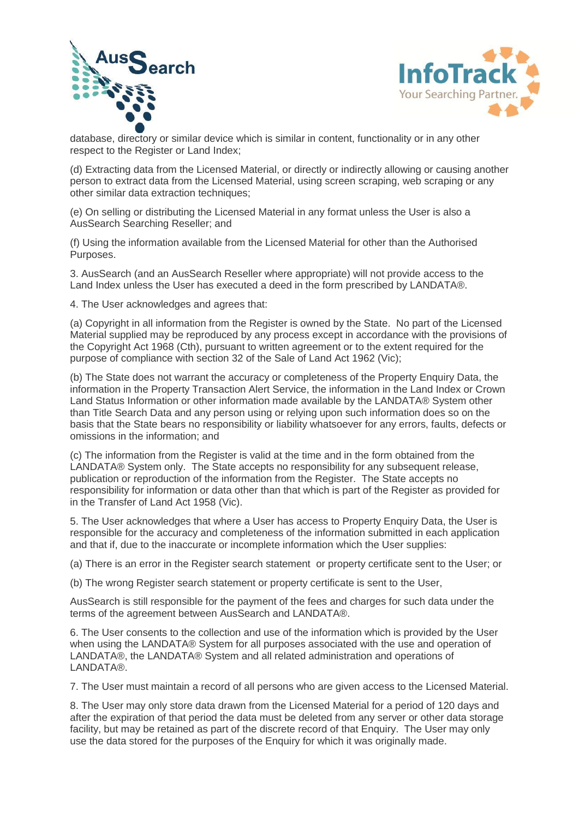



database, directory or similar device which is similar in content, functionality or in any other respect to the Register or Land Index;

(d) Extracting data from the Licensed Material, or directly or indirectly allowing or causing another person to extract data from the Licensed Material, using screen scraping, web scraping or any other similar data extraction techniques;

(e) On selling or distributing the Licensed Material in any format unless the User is also a AusSearch Searching Reseller; and

(f) Using the information available from the Licensed Material for other than the Authorised Purposes.

3. AusSearch (and an AusSearch Reseller where appropriate) will not provide access to the Land Index unless the User has executed a deed in the form prescribed by LANDATA®.

4. The User acknowledges and agrees that:

(a) Copyright in all information from the Register is owned by the State. No part of the Licensed Material supplied may be reproduced by any process except in accordance with the provisions of the Copyright Act 1968 (Cth), pursuant to written agreement or to the extent required for the purpose of compliance with section 32 of the Sale of Land Act 1962 (Vic);

(b) The State does not warrant the accuracy or completeness of the Property Enquiry Data, the information in the Property Transaction Alert Service, the information in the Land Index or Crown Land Status Information or other information made available by the LANDATA® System other than Title Search Data and any person using or relying upon such information does so on the basis that the State bears no responsibility or liability whatsoever for any errors, faults, defects or omissions in the information; and

(c) The information from the Register is valid at the time and in the form obtained from the LANDATA® System only. The State accepts no responsibility for any subsequent release, publication or reproduction of the information from the Register. The State accepts no responsibility for information or data other than that which is part of the Register as provided for in the Transfer of Land Act 1958 (Vic).

5. The User acknowledges that where a User has access to Property Enquiry Data, the User is responsible for the accuracy and completeness of the information submitted in each application and that if, due to the inaccurate or incomplete information which the User supplies:

(a) There is an error in the Register search statement or property certificate sent to the User; or

(b) The wrong Register search statement or property certificate is sent to the User,

AusSearch is still responsible for the payment of the fees and charges for such data under the terms of the agreement between AusSearch and LANDATA®.

6. The User consents to the collection and use of the information which is provided by the User when using the LANDATA® System for all purposes associated with the use and operation of LANDATA®, the LANDATA® System and all related administration and operations of LANDATA®.

7. The User must maintain a record of all persons who are given access to the Licensed Material.

8. The User may only store data drawn from the Licensed Material for a period of 120 days and after the expiration of that period the data must be deleted from any server or other data storage facility, but may be retained as part of the discrete record of that Enquiry. The User may only use the data stored for the purposes of the Enquiry for which it was originally made.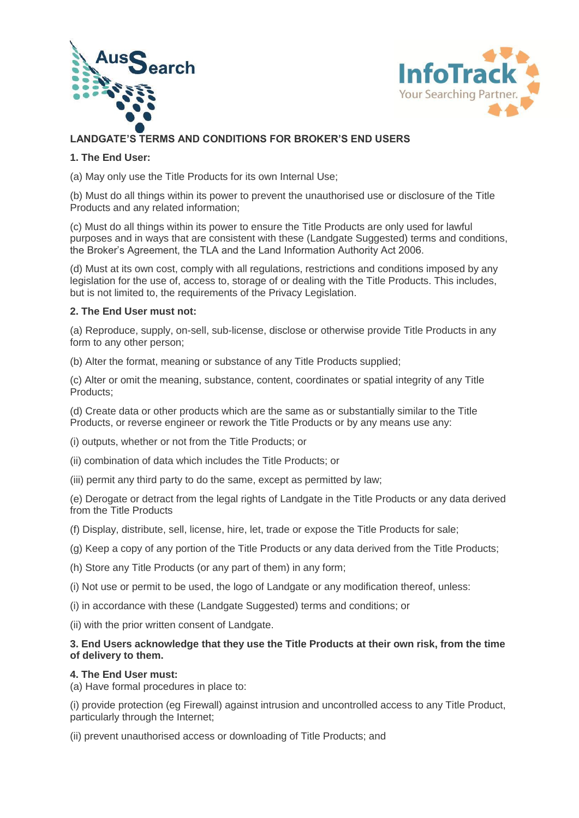



## **LANDGATE'S TERMS AND CONDITIONS FOR BROKER'S END USERS**

## **1. The End User:**

(a) May only use the Title Products for its own Internal Use;

(b) Must do all things within its power to prevent the unauthorised use or disclosure of the Title Products and any related information;

(c) Must do all things within its power to ensure the Title Products are only used for lawful purposes and in ways that are consistent with these (Landgate Suggested) terms and conditions, the Broker's Agreement, the TLA and the Land Information Authority Act 2006.

(d) Must at its own cost, comply with all regulations, restrictions and conditions imposed by any legislation for the use of, access to, storage of or dealing with the Title Products. This includes, but is not limited to, the requirements of the Privacy Legislation.

#### **2. The End User must not:**

(a) Reproduce, supply, on-sell, sub-license, disclose or otherwise provide Title Products in any form to any other person;

(b) Alter the format, meaning or substance of any Title Products supplied;

(c) Alter or omit the meaning, substance, content, coordinates or spatial integrity of any Title Products;

(d) Create data or other products which are the same as or substantially similar to the Title Products, or reverse engineer or rework the Title Products or by any means use any:

(i) outputs, whether or not from the Title Products; or

- (ii) combination of data which includes the Title Products; or
- (iii) permit any third party to do the same, except as permitted by law;

(e) Derogate or detract from the legal rights of Landgate in the Title Products or any data derived from the Title Products

- (f) Display, distribute, sell, license, hire, let, trade or expose the Title Products for sale;
- (g) Keep a copy of any portion of the Title Products or any data derived from the Title Products;
- (h) Store any Title Products (or any part of them) in any form;
- (i) Not use or permit to be used, the logo of Landgate or any modification thereof, unless:
- (i) in accordance with these (Landgate Suggested) terms and conditions; or
- (ii) with the prior written consent of Landgate.

## **3. End Users acknowledge that they use the Title Products at their own risk, from the time of delivery to them.**

#### **4. The End User must:**

(a) Have formal procedures in place to:

(i) provide protection (eg Firewall) against intrusion and uncontrolled access to any Title Product, particularly through the Internet;

(ii) prevent unauthorised access or downloading of Title Products; and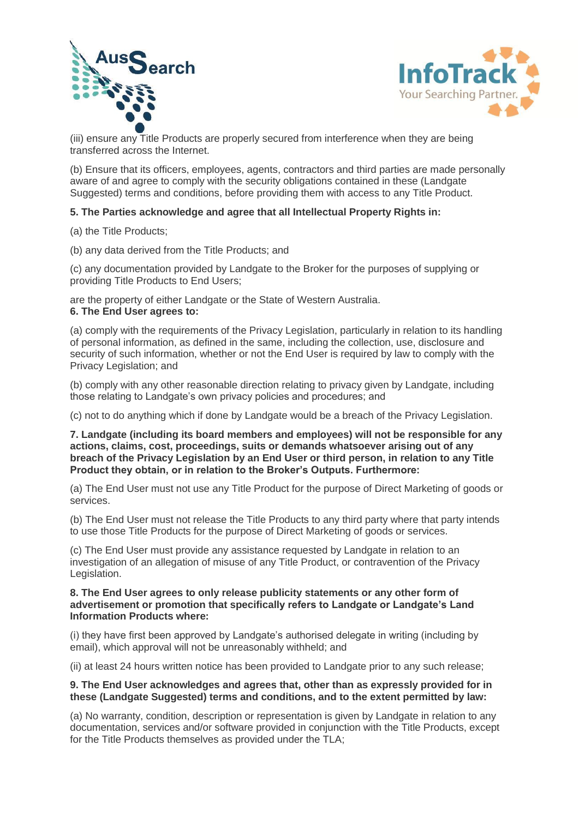



(iii) ensure any Title Products are properly secured from interference when they are being transferred across the Internet.

(b) Ensure that its officers, employees, agents, contractors and third parties are made personally aware of and agree to comply with the security obligations contained in these (Landgate Suggested) terms and conditions, before providing them with access to any Title Product.

#### **5. The Parties acknowledge and agree that all Intellectual Property Rights in:**

(a) the Title Products;

(b) any data derived from the Title Products; and

(c) any documentation provided by Landgate to the Broker for the purposes of supplying or providing Title Products to End Users;

are the property of either Landgate or the State of Western Australia. **6. The End User agrees to:**

(a) comply with the requirements of the Privacy Legislation, particularly in relation to its handling of personal information, as defined in the same, including the collection, use, disclosure and security of such information, whether or not the End User is required by law to comply with the Privacy Legislation; and

(b) comply with any other reasonable direction relating to privacy given by Landgate, including those relating to Landgate's own privacy policies and procedures; and

(c) not to do anything which if done by Landgate would be a breach of the Privacy Legislation.

**7. Landgate (including its board members and employees) will not be responsible for any actions, claims, cost, proceedings, suits or demands whatsoever arising out of any breach of the Privacy Legislation by an End User or third person, in relation to any Title Product they obtain, or in relation to the Broker's Outputs. Furthermore:**

(a) The End User must not use any Title Product for the purpose of Direct Marketing of goods or services.

(b) The End User must not release the Title Products to any third party where that party intends to use those Title Products for the purpose of Direct Marketing of goods or services.

(c) The End User must provide any assistance requested by Landgate in relation to an investigation of an allegation of misuse of any Title Product, or contravention of the Privacy Legislation.

#### **8. The End User agrees to only release publicity statements or any other form of advertisement or promotion that specifically refers to Landgate or Landgate's Land Information Products where:**

(i) they have first been approved by Landgate's authorised delegate in writing (including by email), which approval will not be unreasonably withheld; and

(ii) at least 24 hours written notice has been provided to Landgate prior to any such release;

#### **9. The End User acknowledges and agrees that, other than as expressly provided for in these (Landgate Suggested) terms and conditions, and to the extent permitted by law:**

(a) No warranty, condition, description or representation is given by Landgate in relation to any documentation, services and/or software provided in conjunction with the Title Products, except for the Title Products themselves as provided under the TLA;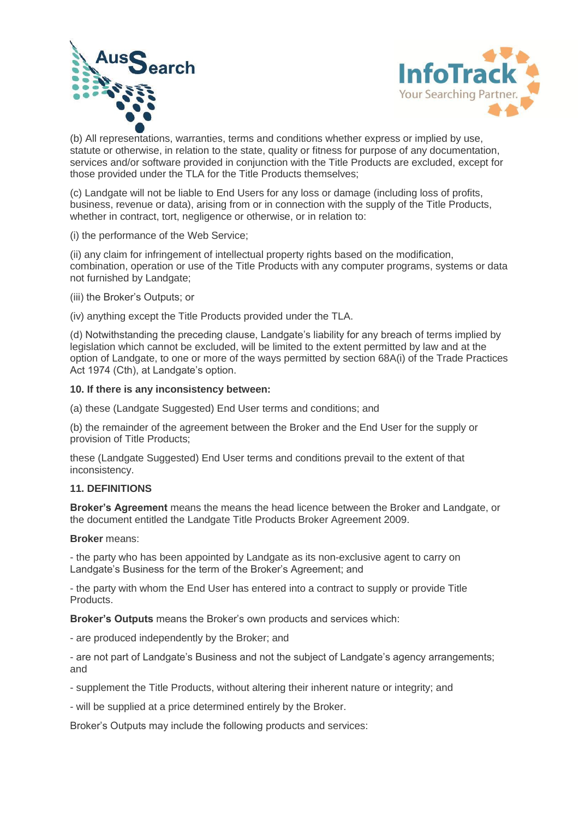



(b) All representations, warranties, terms and conditions whether express or implied by use, statute or otherwise, in relation to the state, quality or fitness for purpose of any documentation, services and/or software provided in conjunction with the Title Products are excluded, except for those provided under the TLA for the Title Products themselves;

(c) Landgate will not be liable to End Users for any loss or damage (including loss of profits, business, revenue or data), arising from or in connection with the supply of the Title Products, whether in contract, tort, negligence or otherwise, or in relation to:

(i) the performance of the Web Service;

(ii) any claim for infringement of intellectual property rights based on the modification, combination, operation or use of the Title Products with any computer programs, systems or data not furnished by Landgate;

(iii) the Broker's Outputs; or

(iv) anything except the Title Products provided under the TLA.

(d) Notwithstanding the preceding clause, Landgate's liability for any breach of terms implied by legislation which cannot be excluded, will be limited to the extent permitted by law and at the option of Landgate, to one or more of the ways permitted by section 68A(i) of the Trade Practices Act 1974 (Cth), at Landgate's option.

#### **10. If there is any inconsistency between:**

(a) these (Landgate Suggested) End User terms and conditions; and

(b) the remainder of the agreement between the Broker and the End User for the supply or provision of Title Products;

these (Landgate Suggested) End User terms and conditions prevail to the extent of that inconsistency.

#### **11. DEFINITIONS**

**Broker's Agreement** means the means the head licence between the Broker and Landgate, or the document entitled the Landgate Title Products Broker Agreement 2009.

#### **Broker** means:

- the party who has been appointed by Landgate as its non-exclusive agent to carry on Landgate's Business for the term of the Broker's Agreement; and

- the party with whom the End User has entered into a contract to supply or provide Title Products.

**Broker's Outputs** means the Broker's own products and services which:

- are produced independently by the Broker; and

- are not part of Landgate's Business and not the subject of Landgate's agency arrangements; and

- supplement the Title Products, without altering their inherent nature or integrity; and

- will be supplied at a price determined entirely by the Broker.

Broker's Outputs may include the following products and services: